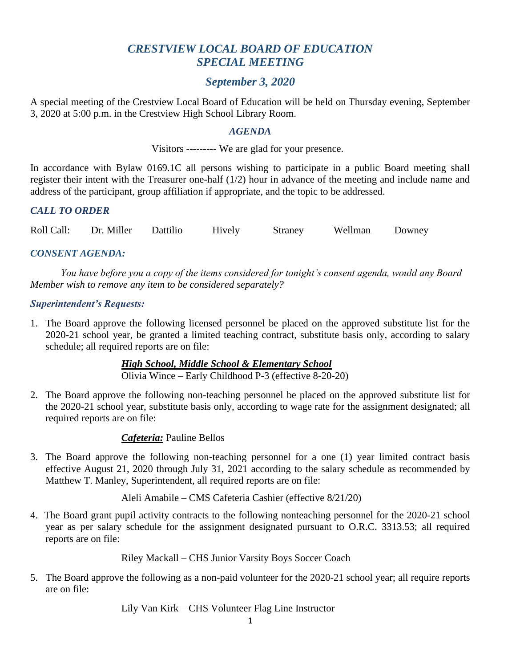# *CRESTVIEW LOCAL BOARD OF EDUCATION SPECIAL MEETING*

## *September 3, 2020*

A special meeting of the Crestview Local Board of Education will be held on Thursday evening, September 3, 2020 at 5:00 p.m. in the Crestview High School Library Room.

### *AGENDA*

Visitors --------- We are glad for your presence.

In accordance with Bylaw 0169.1C all persons wishing to participate in a public Board meeting shall register their intent with the Treasurer one-half (1/2) hour in advance of the meeting and include name and address of the participant, group affiliation if appropriate, and the topic to be addressed.

## *CALL TO ORDER*

Roll Call: Dr. Miller Dattilio Hively Straney Wellman Downey

*CONSENT AGENDA:*

*You have before you a copy of the items considered for tonight's consent agenda, would any Board Member wish to remove any item to be considered separately?*

#### *Superintendent's Requests:*

1. The Board approve the following licensed personnel be placed on the approved substitute list for the 2020-21 school year, be granted a limited teaching contract, substitute basis only, according to salary schedule; all required reports are on file:

> *High School, Middle School & Elementary School* Olivia Wince – Early Childhood P-3 (effective 8-20-20)

2. The Board approve the following non-teaching personnel be placed on the approved substitute list for the 2020-21 school year, substitute basis only, according to wage rate for the assignment designated; all required reports are on file:

## *Cafeteria:* Pauline Bellos

3. The Board approve the following non-teaching personnel for a one (1) year limited contract basis effective August 21, 2020 through July 31, 2021 according to the salary schedule as recommended by Matthew T. Manley, Superintendent, all required reports are on file:

Aleli Amabile – CMS Cafeteria Cashier (effective 8/21/20)

4. The Board grant pupil activity contracts to the following nonteaching personnel for the 2020-21 school year as per salary schedule for the assignment designated pursuant to O.R.C. 3313.53; all required reports are on file:

Riley Mackall – CHS Junior Varsity Boys Soccer Coach

5. The Board approve the following as a non-paid volunteer for the 2020-21 school year; all require reports are on file:

Lily Van Kirk – CHS Volunteer Flag Line Instructor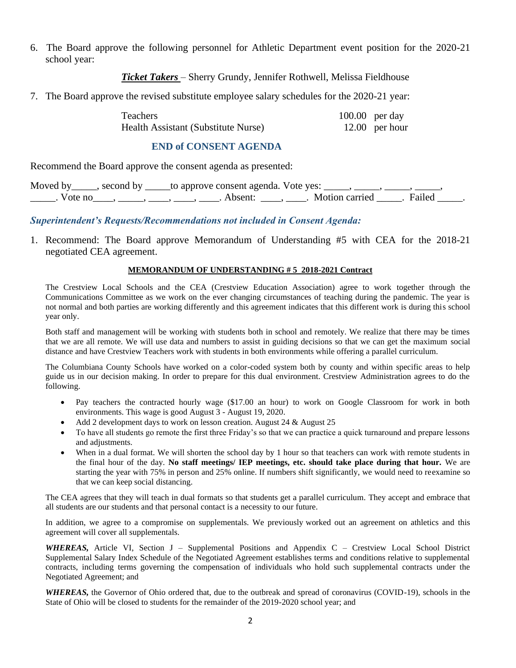6. The Board approve the following personnel for Athletic Department event position for the 2020-21 school year:

*Ticket Takers* – Sherry Grundy, Jennifer Rothwell, Melissa Fieldhouse

7. The Board approve the revised substitute employee salary schedules for the 2020-21 year:

| <b>Teachers</b>                     | $100.00$ per day |
|-------------------------------------|------------------|
| Health Assistant (Substitute Nurse) | $12.00$ per hour |

### **END of CONSENT AGENDA**

Recommend the Board approve the consent agenda as presented:

Moved by \_\_\_\_\_, second by \_\_\_\_\_to approve consent agenda. Vote yes: \_\_\_\_\_, \_\_\_\_\_, \_\_\_\_\_, \_\_\_\_\_, \_\_\_\_\_\_. Vote no\_\_\_\_, \_\_\_\_\_, \_\_\_\_, \_\_\_\_, \_\_\_\_\_. Absent: \_\_\_\_\_, \_\_\_\_. Motion carried \_\_\_\_\_. Failed \_\_\_\_\_.

*Superintendent's Requests/Recommendations not included in Consent Agenda:*

1. Recommend: The Board approve Memorandum of Understanding #5 with CEA for the 2018-21 negotiated CEA agreement.

#### **MEMORANDUM OF UNDERSTANDING # 5 2018-2021 Contract**

The Crestview Local Schools and the CEA (Crestview Education Association) agree to work together through the Communications Committee as we work on the ever changing circumstances of teaching during the pandemic. The year is not normal and both parties are working differently and this agreement indicates that this different work is during this school year only.

Both staff and management will be working with students both in school and remotely. We realize that there may be times that we are all remote. We will use data and numbers to assist in guiding decisions so that we can get the maximum social distance and have Crestview Teachers work with students in both environments while offering a parallel curriculum.

The Columbiana County Schools have worked on a color-coded system both by county and within specific areas to help guide us in our decision making. In order to prepare for this dual environment. Crestview Administration agrees to do the following.

- Pay teachers the contracted hourly wage (\$17.00 an hour) to work on Google Classroom for work in both environments. This wage is good August 3 - August 19, 2020.
- Add 2 development days to work on lesson creation. August 24 & August 25
- To have all students go remote the first three Friday's so that we can practice a quick turnaround and prepare lessons and adjustments.
- When in a dual format. We will shorten the school day by 1 hour so that teachers can work with remote students in the final hour of the day. **No staff meetings/ IEP meetings, etc. should take place during that hour.** We are starting the year with 75% in person and 25% online. If numbers shift significantly, we would need to reexamine so that we can keep social distancing.

The CEA agrees that they will teach in dual formats so that students get a parallel curriculum. They accept and embrace that all students are our students and that personal contact is a necessity to our future.

In addition, we agree to a compromise on supplementals. We previously worked out an agreement on athletics and this agreement will cover all supplementals.

*WHEREAS,* Article VI, Section J – Supplemental Positions and Appendix C – Crestview Local School District Supplemental Salary Index Schedule of the Negotiated Agreement establishes terms and conditions relative to supplemental contracts, including terms governing the compensation of individuals who hold such supplemental contracts under the Negotiated Agreement; and

*WHEREAS,* the Governor of Ohio ordered that, due to the outbreak and spread of coronavirus (COVID-19), schools in the State of Ohio will be closed to students for the remainder of the 2019-2020 school year; and